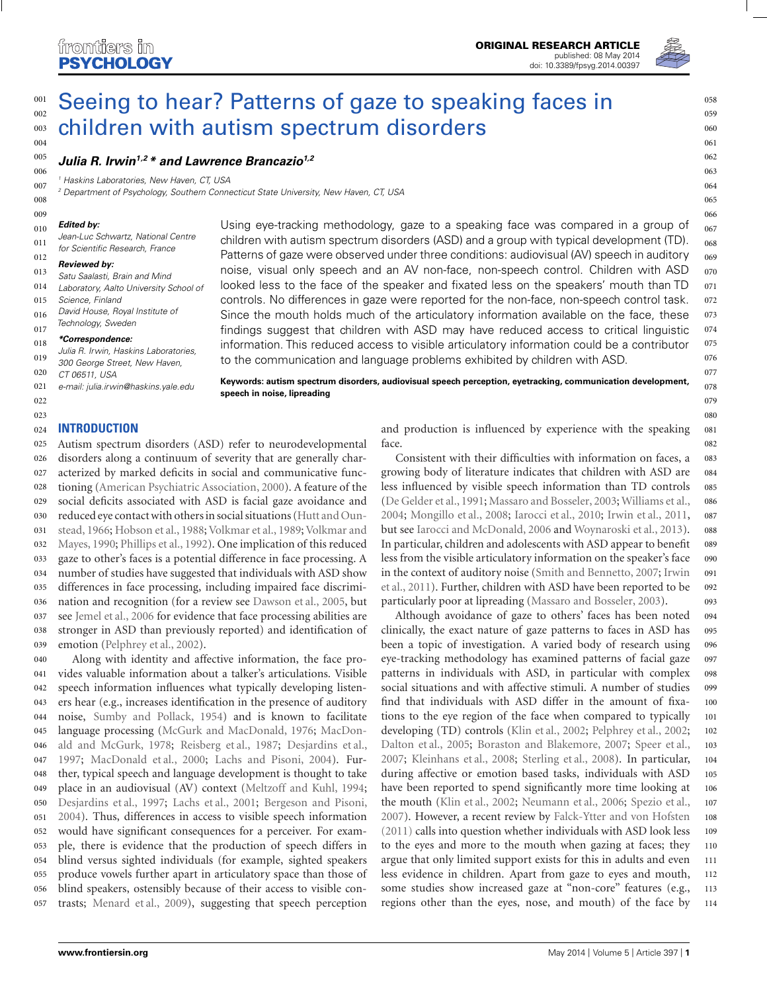

### 001 002 003 004 [Seeing to hear? Patterns of gaze to speaking faces in](http://www.frontiersin.org/journal/10.3389/fpsyg.2014.00397/abstract) children with autism spectrum disorders

#### 005 006 *[Julia R. Irwin1](http://community.frontiersin.org/people/u/115110),2 \* and [Lawrence Brancazio1](http://community.frontiersin.org/people/u/139506),2*

007 <sup>1</sup> Haskins Laboratories, New Haven, CT, USA

008 <sup>2</sup> Department of Psychology, Southern Connecticut State University, New Haven, CT, USA

### 010 *Edited by:*

009

011 Jean-Luc Schwartz, National Centre for Scientific Research, France

- 012 *Reviewed by:*
- 013 Satu Saalasti, Brain and Mind
- 014 Laboratory, Aalto University School of
- 015 Science, Finland
- 016 David House, Royal Institute of
- 017 Technology, Sweden

#### 018 *\*Correspondence:*

019 020 Julia R. Irwin, Haskins Laboratories, 300 George Street, New Haven, CT 06511, USA

- 021 022 e-mail: [julia.irwin@haskins.yale.edu](mailto:julia.irwin@haskins.yale.edu)
- 024

# information. This reduced access to visible articulatory information could be a contributor to the communication and language problems exhibited by children with ASD. **Keywords: autism spectrum disorders, audiovisual speech perception, eyetracking, communication development, speech in noise, lipreading**

Using eye-tracking methodology, gaze to a speaking face was compared in a group of children with autism spectrum disorders (ASD) and a group with typical development (TD). Patterns of gaze were observed under three conditions: audiovisual (AV) speech in auditory noise, visual only speech and an AV non-face, non-speech control. Children with ASD looked less to the face of the speaker and fixated less on the speakers' mouth than TD controls. No differences in gaze were reported for the non-face, non-speech control task. Since the mouth holds much of the articulatory information available on the face, these findings suggest that children with ASD may have reduced access to critical linguistic

023 **INTRODUCTION** and production is influenced by experience with the speaking

025 026 027 028 029 030 031 032 033 034 035 036 037 038 039 Autism spectrum disorders (ASD) refer to neurodevelopmental disorders along a continuum of severity that are generally characterized by marked deficits in social and communicative functioning [\(American Psychiatric Association, 2000](#page-7-0)). A feature of the social deficits associated with ASD is facial gaze avoidance and redu[ced](#page-8-0) [eye](#page-8-0) [contact](#page-8-0) [with](#page-8-0) [others](#page-8-0) [in](#page-8-0) [social](#page-8-0) [situations](#page-8-0) [\(](#page-8-0)Hutt and Oun-stead, [1966;](#page-8-0) Hobson et al., 1988; Volkmar et al., 1989; Volkmar and Mayes, [1990](#page-8-0); [Phillips et al., 1992\)](#page-8-0). One implication of this reduced gaze to other's faces is a potential difference in face processing. A number of studies have suggested that individuals with ASD show differences in face processing, including impaired face discrimination and recognition (for a review see [Dawson et al., 2005](#page-7-0), but see [Jemel et al., 2006](#page-8-0) for evidence that face processing abilities are stronger in ASD than previously reported) and identification of emotion [\(Pelphrey et al., 2002\)](#page-8-0).

040 041 042 043 044 045 046 047 048 049 050 051 052 053 054 055 056 057 Along with identity and affective information, the face provides valuable information about a talker's articulations. Visible speech information influences what typically developing listeners hear (e.g., increases identification in the presence of auditory noise, [Sumby and Pollack, 1954\)](#page-8-0) and is known to facilitate language process[ing](#page-8-0) [\(McGurk and MacDonald, 1976;](#page-8-0) MacDonald and McGurk, [1978;](#page-8-0) [Reisberg et al., 1987;](#page-8-0) [Desjardins et al.](#page-7-0), [1997;](#page-7-0) [MacDonald et al.](#page-8-0), [2000;](#page-8-0) [Lachs and Pisoni](#page-8-0), [2004\)](#page-8-0). Further, typical speech and language development is thought to take place in an audiovisual (AV) context [\(Meltzoff and Kuhl](#page-8-0), [1994;](#page-8-0) [Desjardins et al., 1997](#page-7-0); [Lachs et al.](#page-8-0), [2001](#page-8-0); [Bergeson and Pisoni](#page-7-0), [2004\)](#page-7-0). Thus, differences in access to visible speech information would have significant consequences for a perceiver. For example, there is evidence that the production of speech differs in blind versus sighted individuals (for example, sighted speakers produce vowels further apart in articulatory space than those of blind speakers, ostensibly because of their access to visible contrasts; [Menard et al.](#page-8-0), [2009\)](#page-8-0), suggesting that speech perception

082 083 084 085 086 087 088 089 090 091 092 093 face. Consistent with their difficulties with information on faces, a growing body of literature indicates that children with ASD are less influenced by visible speech information than TD controls [\(De Gelder et al., 1991;](#page-7-0) [Massaro and Bosseler, 2003](#page-8-0); [Williams et al.,](#page-8-0) [2004](#page-8-0); [Mongillo et al., 2008;](#page-8-0) [Iarocci et al., 2010;](#page-8-0) [Irwin et al.](#page-8-0), [2011,](#page-8-0) but see [Iarocci and McDonald, 2006](#page-8-0) and [Woynaroski et al., 2013](#page-8-0)). In particular, children and adolescents with ASD appear to benefit less from the visible articulatory information on the speaker's face in t[he context of auditory noise \(Smith and Bennetto, 2007;](#page-8-0) Irwin et al., [2011](#page-8-0)). Further, children with ASD have been reported to be particularly poor at lipreading [\(Massaro and Bosseler](#page-8-0), [2003\)](#page-8-0).

094 095 096 097 098 099 100 101 102 103 104 105 106 107 108 109 110 111 112 113 114 Although avoidance of gaze to others' faces has been noted clinically, the exact nature of gaze patterns to faces in ASD has been a topic of investigation. A varied body of research using eye-tracking methodology has examined patterns of facial gaze patterns in individuals with ASD, in particular with complex social situations and with affective stimuli. A number of studies find that individuals with ASD differ in the amount of fixations to the eye region of the face when compared to typically developing (TD) controls [\(Klin et al., 2002;](#page-8-0) [Pelphrey et al., 2002;](#page-8-0) [Dalton et al.](#page-7-0), [2005](#page-7-0); [Boraston and Blakemore](#page-7-0), [2007;](#page-7-0) [Speer et al.,](#page-8-0) [2007](#page-8-0); [Kleinhans et al.](#page-8-0), [2008;](#page-8-0) [Sterling et al.](#page-8-0), [2008\)](#page-8-0). In particular, during affective or emotion based tasks, individuals with ASD have been reported to spend significantly more time looking at the mouth [\(Klin et al.](#page-8-0), [2002](#page-8-0); [Neumann et al.](#page-8-0), [2006](#page-8-0); [Spezio et al.,](#page-8-0) [2007](#page-8-0)). However, a recent review by [Falck-Ytter and von Hofsten](#page-7-0) [\(2011\)](#page-7-0) calls into question whether individuals with ASD look less to the eyes and more to the mouth when gazing at faces; they argue that only limited support exists for this in adults and even less evidence in children. Apart from gaze to eyes and mouth, some studies show increased gaze at "non-core" features (e.g., regions other than the eyes, nose, and mouth) of the face by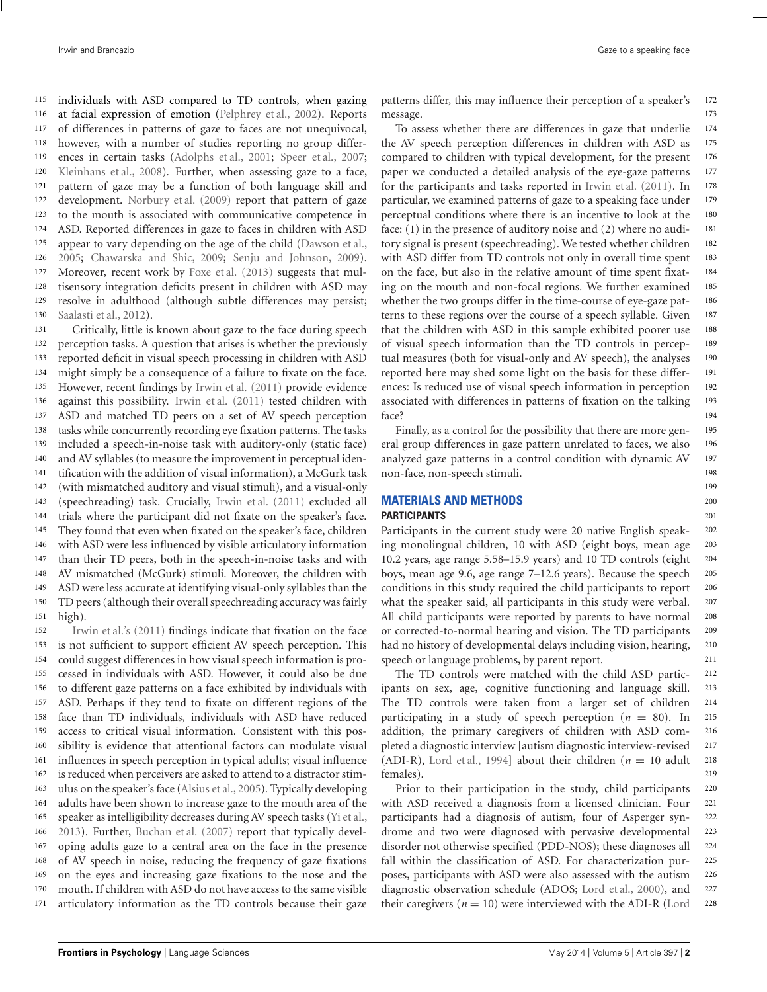115 116 117 118 119 120 121 122 123 124 125 126 127 128 129 130 individuals with ASD compared to TD controls, when gazing at facial expression of emotion [\(Pelphrey et al.](#page-8-0), [2002](#page-8-0)). Reports of differences in patterns of gaze to faces are not unequivocal, however, with a number of studies reporting no group differences in certain tasks [\(Adolphs et al.](#page-7-0), [2001;](#page-7-0) [Speer et al.](#page-8-0), [2007;](#page-8-0) [Kleinhans et al.](#page-8-0), [2008](#page-8-0)). Further, when assessing gaze to a face, pattern of gaze may be a function of both language skill and development. [Norbury et al.](#page-8-0) [\(2009](#page-8-0)) report that pattern of gaze to the mouth is associated with communicative competence in ASD. Reported differences in gaze to faces in children with ASD appear to vary depending on the age of the child [\(Dawson et al.,](#page-7-0) [2005;](#page-7-0) [Chawarska and Shic](#page-7-0), [2009](#page-7-0); [Senju and Johnson](#page-8-0), [2009](#page-8-0)). Moreover, recent work by [Foxe et al.](#page-8-0) [\(2013](#page-8-0)) suggests that multisensory integration deficits present in children with ASD may resolve in adulthood (although subtle differences may persist; [Saalasti et al., 2012](#page-8-0)).

131 132 133 134 135 136 137 138 139 140 141 142 143 144 145 146 147 148 149 150 151 Critically, little is known about gaze to the face during speech perception tasks. A question that arises is whether the previously reported deficit in visual speech processing in children with ASD might simply be a consequence of a failure to fixate on the face. However, recent findings by [Irwin et al.](#page-8-0) [\(2011\)](#page-8-0) provide evidence against this possibility. [Irwin et al.](#page-8-0) [\(2011](#page-8-0)) tested children with ASD and matched TD peers on a set of AV speech perception tasks while concurrently recording eye fixation patterns. The tasks included a speech-in-noise task with auditory-only (static face) and AV syllables (to measure the improvement in perceptual identification with the addition of visual information), a McGurk task (with mismatched auditory and visual stimuli), and a visual-only (speechreading) task. Crucially, [Irwin et al.](#page-8-0) [\(2011\)](#page-8-0) excluded all trials where the participant did not fixate on the speaker's face. They found that even when fixated on the speaker's face, children with ASD were less influenced by visible articulatory information than their TD peers, both in the speech-in-noise tasks and with AV mismatched (McGurk) stimuli. Moreover, the children with ASD were less accurate at identifying visual-only syllables than the TD peers (although their overall speechreading accuracy was fairly [high\).](#page-8-0)

152 153 154 155 156 157 158 159 160 161 162 163 164 165 166 167 168 169 170 171 Irwin et al.'s [\(2011](#page-8-0)) findings indicate that fixation on the face is not sufficient to support efficient AV speech perception. This could suggest differences in how visual speech information is processed in individuals with ASD. However, it could also be due to different gaze patterns on a face exhibited by individuals with ASD. Perhaps if they tend to fixate on different regions of the face than TD individuals, individuals with ASD have reduced access to critical visual information. Consistent with this possibility is evidence that attentional factors can modulate visual influences in speech perception in typical adults; visual influence is reduced when perceivers are asked to attend to a distractor stimulus on the speaker's face [\(Alsius et al.](#page-7-0), [2005](#page-7-0)). Typically developing adults have been shown to increase gaze to the mouth area of the speaker as intelligibility decreases during AV speech tasks [\(Yi et al.,](#page-9-0) [2013\)](#page-9-0). Further, [Buchan et al.](#page-7-0) [\(2007\)](#page-7-0) report that typically developing adults gaze to a central area on the face in the presence of AV speech in noise, reducing the frequency of gaze fixations on the eyes and increasing gaze fixations to the nose and the mouth. If children with ASD do not have access to the same visible articulatory information as the TD controls because their gaze

172 173 patterns differ, this may influence their perception of a speaker's message.

174 175 176 177 178 179 180 181 182 183 184 185 186 187 188 189 190 191 192 193 194 To assess whether there are differences in gaze that underlie the AV speech perception differences in children with ASD as compared to children with typical development, for the present paper we conducted a detailed analysis of the eye-gaze patterns for the participants and tasks reported in [Irwin et al.](#page-8-0) [\(2011](#page-8-0)). In particular, we examined patterns of gaze to a speaking face under perceptual conditions where there is an incentive to look at the face: (1) in the presence of auditory noise and (2) where no auditory signal is present (speechreading). We tested whether children with ASD differ from TD controls not only in overall time spent on the face, but also in the relative amount of time spent fixating on the mouth and non-focal regions. We further examined whether the two groups differ in the time-course of eye-gaze patterns to these regions over the course of a speech syllable. Given that the children with ASD in this sample exhibited poorer use of visual speech information than the TD controls in perceptual measures (both for visual-only and AV speech), the analyses reported here may shed some light on the basis for these differences: Is reduced use of visual speech information in perception associated with differences in patterns of fixation on the talking face?

Finally, as a control for the possibility that there are more general group differences in gaze pattern unrelated to faces, we also analyzed gaze patterns in a control condition with dynamic AV non-face, non-speech stimuli.

## **MATERIALS AND METHODS PARTICIPANTS**

202 203 204 205 206 207 208 209 210 211 Participants in the current study were 20 native English speaking monolingual children, 10 with ASD (eight boys, mean age 10.2 years, age range 5.58–15.9 years) and 10 TD controls (eight boys, mean age 9.6, age range 7–12.6 years). Because the speech conditions in this study required the child participants to report what the speaker said, all participants in this study were verbal. All child participants were reported by parents to have normal or corrected-to-normal hearing and vision. The TD participants had no history of developmental delays including vision, hearing, speech or language problems, by parent report.

212 213 214 215 216 217 218 219 The TD controls were matched with the child ASD participants on sex, age, cognitive functioning and language skill. The TD controls were taken from a larger set of children participating in a study of speech perception  $(n = 80)$ . In addition, the primary caregivers of children with ASD completed a diagnostic interview [autism diagnostic interview-revised (ADI-R), [Lord et al., 1994\]](#page-8-0) about their children ( $n = 10$  adult females).

 $220$ 221 222 223 224 225 226 227 228 Prior to their participation in the study, child participants with ASD received a diagnosis from a licensed clinician. Four participants had a diagnosis of autism, four of Asperger syndrome and two were diagnosed with pervasive developmental disorder not otherwise specified (PDD-NOS); these diagnoses all fall within the classification of ASD. For characterization purposes, participants with ASD were also assessed with the autism diagnostic observation schedule (ADOS; [Lord et al., 2000](#page-8-0)), and their caregivers ( $n = 10$ ) were interviewed with the ADI-R (Lord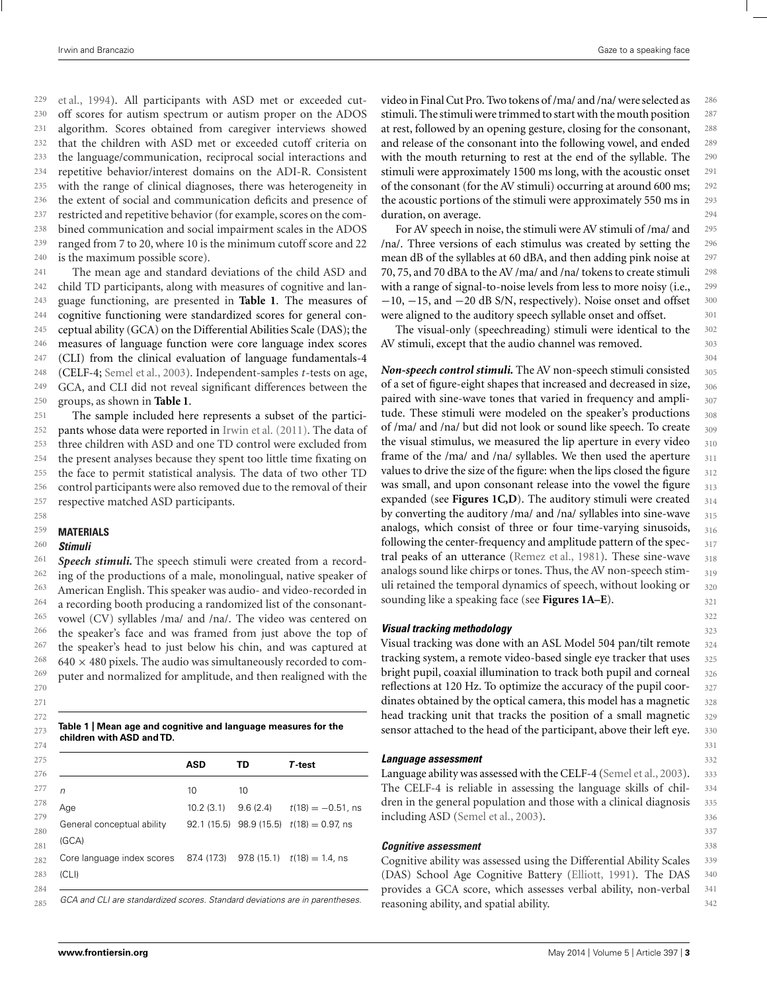322 323

229 230 231 232 233 234 235 236 237 238 239 240 et al., [1994](#page-8-0)). All participants with ASD met or exceeded cutoff scores for autism spectrum or autism proper on the ADOS algorithm. Scores obtained from caregiver interviews showed that the children with ASD met or exceeded cutoff criteria on the language/communication, reciprocal social interactions and repetitive behavior/interest domains on the ADI-R. Consistent with the range of clinical diagnoses, there was heterogeneity in the extent of social and communication deficits and presence of restricted and repetitive behavior (for example, scores on the combined communication and social impairment scales in the ADOS ranged from 7 to 20, where 10 is the minimum cutoff score and 22 is the maximum possible score).

241 242 243 244 245 246 247 248 249 250 The mean age and standard deviations of the child ASD and child TD participants, along with measures of cognitive and language functioning, are presented in **Table 1**. The measures of cognitive functioning were standardized scores for general conceptual ability (GCA) on the Differential Abilities Scale (DAS); the measures of language function were core language index scores (CLI) from the clinical evaluation of language fundamentals-4 (CELF-4; [Semel et al., 2003](#page-8-0)). Independent-samples *t*-tests on age, GCA, and CLI did not reveal significant differences between the groups, as shown in **Table 1**.

251 252 253 254  $255$ 256 257 The sample included here represents a subset of the participants whose data were reported in [Irwin et al.](#page-8-0) [\(2011\)](#page-8-0). The data of three children with ASD and one TD control were excluded from the present analyses because they spent too little time fixating on the face to permit statistical analysis. The data of two other TD control participants were also removed due to the removal of their respective matched ASD participants.

### 259 **MATERIALS**

258

#### 260 *Stimuli*

261 262 263 264 265 266 267 268 269 270 *Speech stimuli.* The speech stimuli were created from a recording of the productions of a male, monolingual, native speaker of American English. This speaker was audio- and video-recorded in a recording booth producing a randomized list of the consonantvowel (CV) syllables /ma/ and /na/. The video was centered on the speaker's face and was framed from just above the top of the speaker's head to just below his chin, and was captured at  $640 \times 480$  pixels. The audio was simultaneously recorded to computer and normalized for amplitude, and then realigned with the

## 271 272

273 274

### **Table 1 | Mean age and cognitive and language measures for the children with ASD and TD.**

|                                                                       | <b>ASD</b> | TD | T-test                                      |
|-----------------------------------------------------------------------|------------|----|---------------------------------------------|
| n                                                                     | 10         | 10 |                                             |
| Age                                                                   | 10.2(3.1)  |    | $9.6(2.4)$ $t(18) = -0.51$ , ns             |
| General conceptual ability                                            |            |    | 92.1 (15.5) 98.9 (15.5) $t(18) = 0.97$ , ns |
| (GCA)                                                                 |            |    |                                             |
| Core language index scores 87.4 (17.3) 97.8 (15.1) $t(18) = 1.4$ , ns |            |    |                                             |
| (CLI)                                                                 |            |    |                                             |
|                                                                       |            |    |                                             |

285 GCA and CLI are standardized scores. Standard deviations are in parentheses.

286 287 288 289 290 291 292 293  $294$ video in Final Cut Pro. Two tokens of /ma/ and /na/ were selected as stimuli. The stimuli were trimmed to start with the mouth position at rest, followed by an opening gesture, closing for the consonant, and release of the consonant into the following vowel, and ended with the mouth returning to rest at the end of the syllable. The stimuli were approximately 1500 ms long, with the acoustic onset of the consonant (for the AV stimuli) occurring at around 600 ms; the acoustic portions of the stimuli were approximately 550 ms in duration, on average.

For AV speech in noise, the stimuli were AV stimuli of /ma/ and /na/. Three versions of each stimulus was created by setting the mean dB of the syllables at 60 dBA, and then adding pink noise at 70, 75, and 70 dBA to the AV /ma/ and /na/ tokens to create stimuli with a range of signal-to-noise levels from less to more noisy (i.e., −10, −15, and −20 dB S/N, respectively). Noise onset and offset were aligned to the auditory speech syllable onset and offset.

The visual-only (speechreading) stimuli were identical to the AV stimuli, except that the audio channel was removed.

305 306 307 308 309 310 311 312 313 314 315 316 317 318 319 320 321 *Non-speech control stimuli.* The AV non-speech stimuli consisted of a set of figure-eight shapes that increased and decreased in size, paired with sine-wave tones that varied in frequency and amplitude. These stimuli were modeled on the speaker's productions of /ma/ and /na/ but did not look or sound like speech. To create the visual stimulus, we measured the lip aperture in every video frame of the /ma/ and /na/ syllables. We then used the aperture values to drive the size of the figure: when the lips closed the figure was small, and upon consonant release into the vowel the figure expanded (see **[Figures 1C,D](#page-3-0)**). The auditory stimuli were created by converting the auditory /ma/ and /na/ syllables into sine-wave analogs, which consist of three or four time-varying sinusoids, following the center-frequency and amplitude pattern of the spectral peaks of an utterance [\(Remez et al.](#page-8-0), [1981](#page-8-0)). These sine-wave analogs sound like chirps or tones. Thus, the AV non-speech stimuli retained the temporal dynamics of speech, without looking or sounding like a speaking face (see **[Figures 1A–E](#page-3-0)**).

### *Visual tracking methodology*

324 325 326 327 328 329 330 Visual tracking was done with an ASL Model 504 pan/tilt remote tracking system, a remote video-based single eye tracker that uses bright pupil, coaxial illumination to track both pupil and corneal reflections at 120 Hz. To optimize the accuracy of the pupil coordinates obtained by the optical camera, this model has a magnetic head tracking unit that tracks the position of a small magnetic sensor attached to the head of the participant, above their left eye.

### *Language assessment*

Language ability was assessed with the CELF-4 [\(Semel et al.](#page-8-0), [2003](#page-8-0)). The CELF-4 is reliable in assessing the language skills of children in the general population and those with a clinical diagnosis including ASD [\(Semel et al., 2003\)](#page-8-0).

### *Cognitive assessment*

339 340 341 342 Cognitive ability was assessed using the Differential Ability Scales (DAS) School Age Cognitive Battery [\(Elliott, 1991](#page-7-0)). The DAS provides a GCA score, which assesses verbal ability, non-verbal reasoning ability, and spatial ability.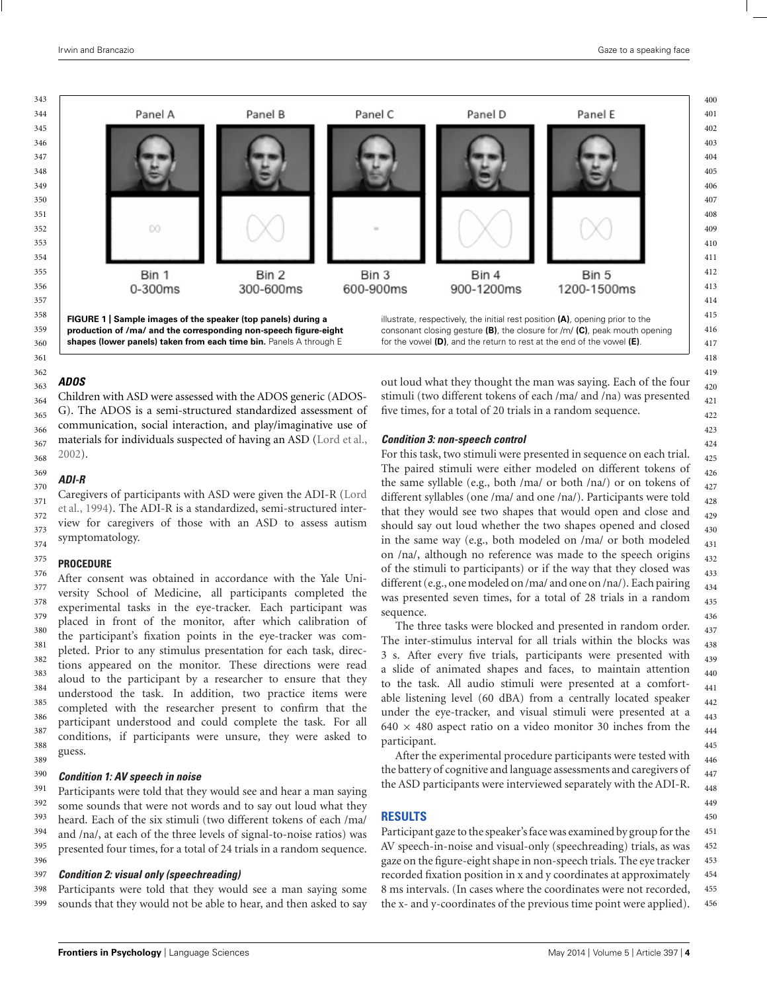<span id="page-3-0"></span>

#### 363 *ADOS*

364 365 366 367 368 Children with ASD were assessed with the ADOS generic (ADOS-G). The ADOS is a semi-structured standardized assessment of communication, social interaction, and play/imaginative use of materials for individuals suspected of having an ASD [\(Lord et al.](#page-8-0), [2002\)](#page-8-0).

### 369 *ADI-R*

370 371 372 373 374 Car[egivers](#page-8-0) [of](#page-8-0) [participants](#page-8-0) [with](#page-8-0) [ASD](#page-8-0) [were](#page-8-0) [given](#page-8-0) [the](#page-8-0) [ADI-R](#page-8-0) [\(](#page-8-0)Lord et al., [1994](#page-8-0)). The ADI-R is a standardized, semi-structured interview for caregivers of those with an ASD to assess autism symptomatology.

### 375 **PROCEDURE**

376 377 378 379 380 381 382 383 384 385 386 387 388 389 After consent was obtained in accordance with the Yale University School of Medicine, all participants completed the experimental tasks in the eye-tracker. Each participant was placed in front of the monitor, after which calibration of the participant's fixation points in the eye-tracker was completed. Prior to any stimulus presentation for each task, directions appeared on the monitor. These directions were read aloud to the participant by a researcher to ensure that they understood the task. In addition, two practice items were completed with the researcher present to confirm that the participant understood and could complete the task. For all conditions, if participants were unsure, they were asked to guess.

#### 390 *Condition 1: AV speech in noise*

391 392 393 394 395 396 Participants were told that they would see and hear a man saying some sounds that were not words and to say out loud what they heard. Each of the six stimuli (two different tokens of each /ma/ and /na/, at each of the three levels of signal-to-noise ratios) was presented four times, for a total of 24 trials in a random sequence.

#### 397 *Condition 2: visual only (speechreading)*

398 399 Participants were told that they would see a man saying some sounds that they would not be able to hear, and then asked to say out loud what they thought the man was saying. Each of the four stimuli (two different tokens of each /ma/ and /na) was presented five times, for a total of 20 trials in a random sequence.

## *Condition 3: non-speech control*

432 433 434 435 436 For this task, two stimuli were presented in sequence on each trial. The paired stimuli were either modeled on different tokens of the same syllable (e.g., both /ma/ or both /na/) or on tokens of different syllables (one /ma/ and one /na/). Participants were told that they would see two shapes that would open and close and should say out loud whether the two shapes opened and closed in the same way (e.g., both modeled on /ma/ or both modeled on /na/, although no reference was made to the speech origins of the stimuli to participants) or if the way that they closed was different (e.g., one modeled on /ma/ and one on /na/). Each pairing was presented seven times, for a total of 28 trials in a random sequence.

437 438 439 440 441 442 443 444 445 The three tasks were blocked and presented in random order. The inter-stimulus interval for all trials within the blocks was 3 s. After every five trials, participants were presented with a slide of animated shapes and faces, to maintain attention to the task. All audio stimuli were presented at a comfortable listening level (60 dBA) from a centrally located speaker under the eye-tracker, and visual stimuli were presented at a  $640 \times 480$  aspect ratio on a video monitor 30 inches from the participant.

After the experimental procedure participants were tested with the battery of cognitive and language assessments and caregivers of the ASD participants were interviewed separately with the ADI-R.

# **RESULTS**

451 452 453 454 455 456 Participant gaze to the speaker's face was examined by group for the AV speech-in-noise and visual-only (speechreading) trials, as was gaze on the figure-eight shape in non-speech trials. The eye tracker recorded fixation position in x and y coordinates at approximately 8 ms intervals. (In cases where the coordinates were not recorded, the x- and y-coordinates of the previous time point were applied).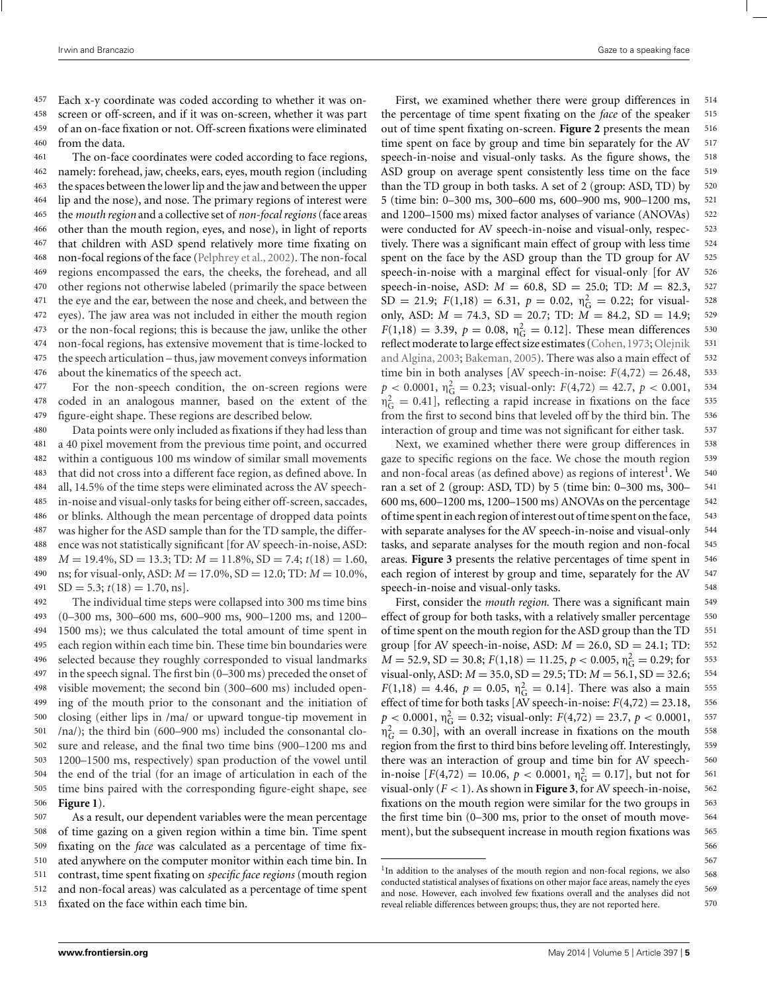457 458 459 460 Each x-y coordinate was coded according to whether it was onscreen or off-screen, and if it was on-screen, whether it was part of an on-face fixation or not. Off-screen fixations were eliminated from the data.

461 462 463 464 465 466 467 468 469 470 471 472 473 474 475 476 The on-face coordinates were coded according to face regions, namely: forehead, jaw, cheeks, ears, eyes, mouth region (including the spaces between the lower lip and the jaw and between the upper lip and the nose), and nose. The primary regions of interest were the *mouth region* and a collective set of *non-focal regions* (face areas other than the mouth region, eyes, and nose), in light of reports that children with ASD spend relatively more time fixating on non-focal regions of the face [\(Pelphrey et al., 2002\)](#page-8-0). The non-focal regions encompassed the ears, the cheeks, the forehead, and all other regions not otherwise labeled (primarily the space between the eye and the ear, between the nose and cheek, and between the eyes). The jaw area was not included in either the mouth region or the non-focal regions; this is because the jaw, unlike the other non-focal regions, has extensive movement that is time-locked to the speech articulation – thus, jaw movement conveys information about the kinematics of the speech act.

477 478 479 For the non-speech condition, the on-screen regions were coded in an analogous manner, based on the extent of the figure-eight shape. These regions are described below.

480 481 482 483 484 485 486 487 488 489 490 491 Data points were only included as fixations if they had less than a 40 pixel movement from the previous time point, and occurred within a contiguous 100 ms window of similar small movements that did not cross into a different face region, as defined above. In all, 14.5% of the time steps were eliminated across the AV speechin-noise and visual-only tasks for being either off-screen, saccades, or blinks. Although the mean percentage of dropped data points was higher for the ASD sample than for the TD sample, the difference was not statistically significant [for AV speech-in-noise, ASD:  $M = 19.4\%, SD = 13.3; TD: M = 11.8\%, SD = 7.4; t(18) = 1.60,$ ns; for visual-only, ASD: *M* = 17.0%, SD = 12.0; TD: *M* = 10.0%,  $SD = 5.3$ ;  $t(18) = 1.70$ , ns].

492 493 494 495 496 497 498 499 500 501 502 503 504 505 506 The individual time steps were collapsed into 300 ms time bins (0–300 ms, 300–600 ms, 600–900 ms, 900–1200 ms, and 1200– 1500 ms); we thus calculated the total amount of time spent in each region within each time bin. These time bin boundaries were selected because they roughly corresponded to visual landmarks in the speech signal. The first bin (0–300 ms) preceded the onset of visible movement; the second bin (300–600 ms) included opening of the mouth prior to the consonant and the initiation of closing (either lips in /ma/ or upward tongue-tip movement in /na/); the third bin (600–900 ms) included the consonantal closure and release, and the final two time bins (900–1200 ms and 1200–1500 ms, respectively) span production of the vowel until the end of the trial (for an image of articulation in each of the time bins paired with the corresponding figure-eight shape, see **[Figure 1](#page-3-0)**).

507 508 509 510 511 512 513 As a result, our dependent variables were the mean percentage of time gazing on a given region within a time bin. Time spent fixating on the *face* was calculated as a percentage of time fixated anywhere on the computer monitor within each time bin. In contrast, time spent fixating on *specific face regions* (mouth region and non-focal areas) was calculated as a percentage of time spent fixated on the face within each time bin.

514 515 516 517 518 519 520 521 522 523 524 525 526 527 528 529 530 531 532 533 534 535 536 537 First, we examined whether there were group differences in the percentage of time spent fixating on the *face* of the speaker out of time spent fixating on-screen. **[Figure 2](#page-5-0)** presents the mean time spent on face by group and time bin separately for the AV speech-in-noise and visual-only tasks. As the figure shows, the ASD group on average spent consistently less time on the face than the TD group in both tasks. A set of 2 (group: ASD, TD) by 5 (time bin: 0–300 ms, 300–600 ms, 600–900 ms, 900–1200 ms, and 1200–1500 ms) mixed factor analyses of variance (ANOVAs) were conducted for AV speech-in-noise and visual-only, respectively. There was a significant main effect of group with less time spent on the face by the ASD group than the TD group for AV speech-in-noise with a marginal effect for visual-only [for AV speech-in-noise, ASD: *M* = 60.8, SD = 25.0; TD: *M* = 82.3,  $SD = 21.9; F(1,18) = 6.31, p = 0.02, \eta_G^2 = 0.22;$  for visualonly, ASD: *M* = 74.3, SD = 20.7; TD: *M* = 84.2, SD = 14.9;  $F(1,18) = 3.39, p = 0.08, \eta_G^2 = 0.12$ . These mean differences reflect mo[derate](#page-8-0) [to](#page-8-0) [large](#page-8-0) [effect](#page-8-0) [size](#page-8-0) [estimates](#page-8-0) [\(Cohen](#page-7-0)[,](#page-8-0)[1973](#page-7-0)[;](#page-8-0) Olejnik and Algina, [2003](#page-8-0); [Bakeman, 2005\)](#page-7-0). There was also a main effect of time bin in both analyses [AV speech-in-noise:  $F(4,72) = 26.48$ ,  $p<sub>g</sub> < 0.0001$ ,  $\eta_G^2 = 0.23$ ; visual-only:  $F(4,72) = 42.7$ ,  $p < 0.001$ ,  $\eta_G^2 = 0.41$ , reflecting a rapid increase in fixations on the face from the first to second bins that leveled off by the third bin. The interaction of group and time was not significant for either task.

538 539 540 541 542 543 544 545 546 547 548 Next, we examined whether there were group differences in gaze to specific regions on the face. We chose the mouth region and non-focal areas (as defined above) as regions of interest<sup>1</sup>. We ran a set of 2 (group: ASD, TD) by 5 (time bin: 0–300 ms, 300– 600 ms, 600–1200 ms, 1200–1500 ms) ANOVAs on the percentage of time spent in each region of interest out of time spent on theface, with separate analyses for the AV speech-in-noise and visual-only tasks, and separate analyses for the mouth region and non-focal areas. **[Figure 3](#page-5-0)** presents the relative percentages of time spent in each region of interest by group and time, separately for the AV speech-in-noise and visual-only tasks.

549 550 551 552 553 554 555 556 557 558 559 560 561 562 563 564 565 566 First, consider the *mouth region*. There was a significant main effect of group for both tasks, with a relatively smaller percentage of time spent on the mouth region for the ASD group than the TD group [for AV speech-in-noise, ASD: *M* = 26.0, SD = 24.1; TD:  $M = 52.9$ , SD = 30.8;  $F(1,18) = 11.25$ ,  $p < 0.005$ ,  $\eta_G^2 = 0.29$ ; for visual-only, ASD: *M* = 35.0, SD = 29.5; TD: *M* = 56.1, SD = 32.6;  $F(1,18) = 4.46$ ,  $p = 0.05$ ,  $\eta_G^2 = 0.14$ . There was also a main effect of time for both tasks [AV speech-in-noise:  $F(4,72) = 23.18$ ,  $p<sub>s</sub>$  < 0.0001,  $\eta_G^2 = 0.32$ ; visual-only:  $F(4,72) = 23.7$ ,  $p < 0.0001$ ,  $\eta_G^2 = 0.30$ , with an overall increase in fixations on the mouth region from the first to third bins before leveling off. Interestingly, there was an interaction of group and time bin for AV speechin-noise  $[F(4,72) = 10.06, p < 0.0001, \eta_G^2 = 0.17]$ , but not for visual-only (*F* < 1). As shown in **[Figure 3](#page-5-0)**, for AV speech-in-noise, fixations on the mouth region were similar for the two groups in the first time bin (0–300 ms, prior to the onset of mouth movement), but the subsequent increase in mouth region fixations was

<sup>&</sup>lt;sup>1</sup>In addition to the analyses of the mouth region and non-focal regions, we also conducted statistical analyses of fixations on other major face areas, namely the eyes and nose. However, each involved few fixations overall and the analyses did not reveal reliable differences between groups; thus, they are not reported here.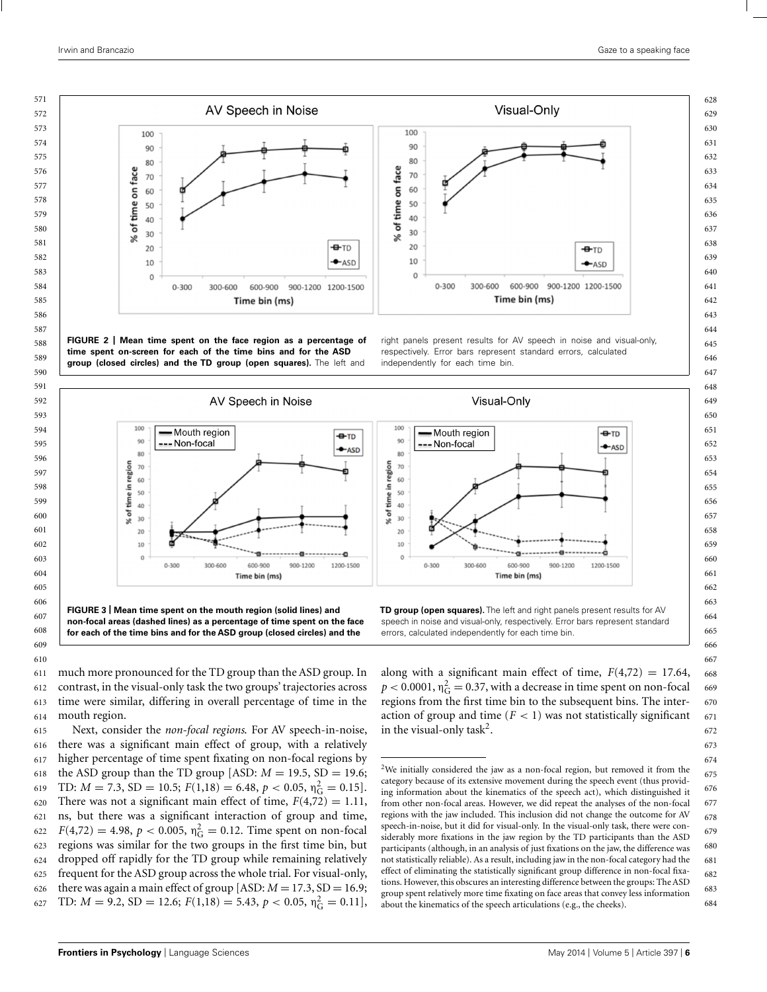<span id="page-5-0"></span>

**FIGURE 2 | Mean time spent on the face region as a percentage of time spent on-screen for each of the time bins and for the ASD group (closed circles) and the TD group (open squares).** The left and

right panels present results for AV speech in noise and visual-only, respectively. Error bars represent standard errors, calculated independently for each time bin.





**TD group (open squares).** The left and right panels present results for AV speech in noise and visual-only, respectively. Error bars represent standard errors, calculated independently for each time bin.

 much more pronounced for the TD group than the ASD group. In contrast, in the visual-only task the two groups' trajectories across time were similar, differing in overall percentage of time in the mouth region.

 Next, consider the *non-focal regions*. For AV speech-in-noise, there was a significant main effect of group, with a relatively higher percentage of time spent fixating on non-focal regions by the ASD group than the TD group  $[ASD: M = 19.5, SD = 19.6;$ TD:  $M = 7.3$ , SD = 10.5;  $F(1,18) = 6.48$ ,  $p < 0.05$ ,  $\eta_G^2 = 0.15$ . There was not a significant main effect of time,  $F(4,72) = 1.11$ , ns, but there was a significant interaction of group and time,  $F(4,72) = 4.98, p < 0.005, \eta_G^2 = 0.12$ . Time spent on non-focal regions was similar for the two groups in the first time bin, but dropped off rapidly for the TD group while remaining relatively frequent for the ASD group across the whole trial. For visual-only, there was again a main effect of group  $[ASD: M = 17.3, SD = 16.9;$ TD:  $M = 9.2$ , SD = 12.6;  $F(1,18) = 5.43$ ,  $p < 0.05$ ,  $\eta_G^2 = 0.11$ , along with a significant main effect of time,  $F(4,72) = 17.64$ ,  $p < 0.0001$ ,  $\eta_G^2 = 0.37$ , with a decrease in time spent on non-focal regions from the first time bin to the subsequent bins. The interaction of group and time  $(F < 1)$  was not statistically significant in the visual-only task<sup>2</sup>.

<sup>&</sup>lt;sup>2</sup>We initially considered the jaw as a non-focal region, but removed it from the category because of its extensive movement during the speech event (thus providing information about the kinematics of the speech act), which distinguished it from other non-focal areas. However, we did repeat the analyses of the non-focal regions with the jaw included. This inclusion did not change the outcome for AV speech-in-noise, but it did for visual-only. In the visual-only task, there were considerably more fixations in the jaw region by the TD participants than the ASD participants (although, in an analysis of just fixations on the jaw, the difference was not statistically reliable). As a result, including jaw in the non-focal category had the effect of eliminating the statistically significant group difference in non-focal fixations. However, this obscures an interesting difference between the groups: The ASD group spent relatively more time fixating on face areas that convey less information about the kinematics of the speech articulations (e.g., the cheeks).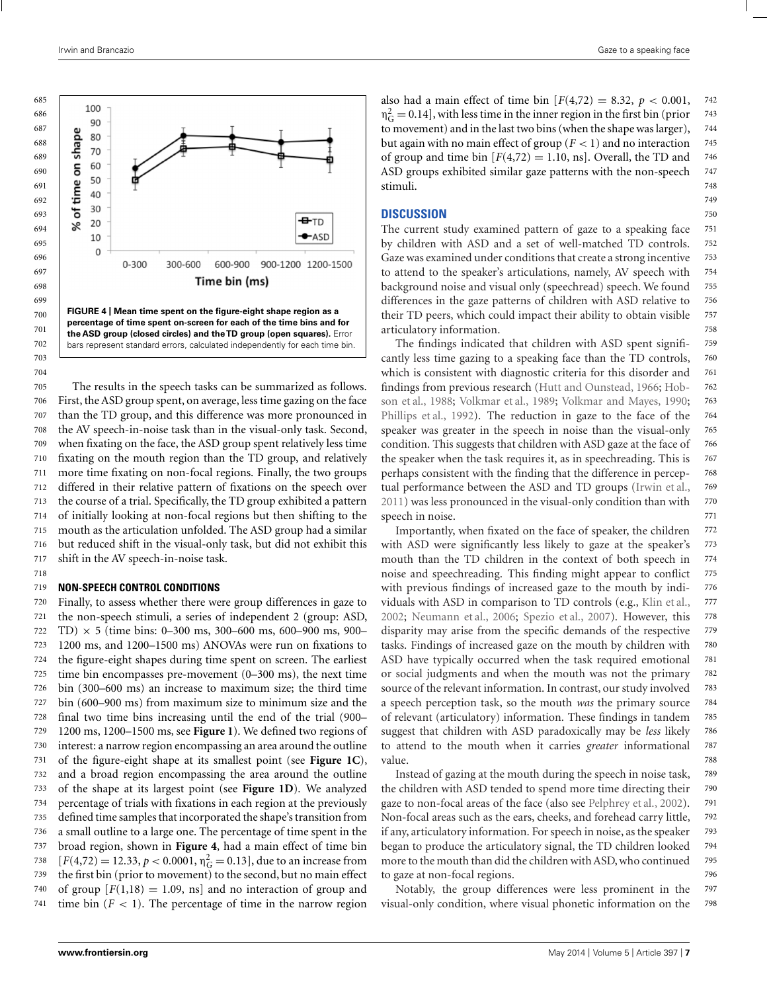

707 708 709 710 711 712 713 714 715 716 717 The results in the speech tasks can be summarized as follows. First, the ASD group spent, on average, less time gazing on the face than the TD group, and this difference was more pronounced in the AV speech-in-noise task than in the visual-only task. Second, when fixating on the face, the ASD group spent relatively less time fixating on the mouth region than the TD group, and relatively more time fixating on non-focal regions. Finally, the two groups differed in their relative pattern of fixations on the speech over the course of a trial. Specifically, the TD group exhibited a pattern of initially looking at non-focal regions but then shifting to the mouth as the articulation unfolded. The ASD group had a similar but reduced shift in the visual-only task, but did not exhibit this shift in the AV speech-in-noise task.

## 718

#### 719 **NON-SPEECH CONTROL CONDITIONS**

720 721 722 723 724 725 726 727 728 729 730 731 732 733 734 735 736 737 738 739 740 741 Finally, to assess whether there were group differences in gaze to the non-speech stimuli, a series of independent 2 (group: ASD, TD)  $\times$  5 (time bins: 0–300 ms, 300–600 ms, 600–900 ms, 900– 1200 ms, and 1200–1500 ms) ANOVAs were run on fixations to the figure-eight shapes during time spent on screen. The earliest time bin encompasses pre-movement (0–300 ms), the next time bin (300–600 ms) an increase to maximum size; the third time bin (600–900 ms) from maximum size to minimum size and the final two time bins increasing until the end of the trial (900– 1200 ms, 1200–1500 ms, see **[Figure 1](#page-3-0)**). We defined two regions of interest: a narrow region encompassing an area around the outline of the figure-eight shape at its smallest point (see **[Figure 1C](#page-3-0)**), and a broad region encompassing the area around the outline of the shape at its largest point (see **[Figure 1D](#page-3-0)**). We analyzed percentage of trials with fixations in each region at the previously defined time samples that incorporated the shape's transition from a small outline to a large one. The percentage of time spent in the broad region, shown in **Figure 4**, had a main effect of time bin  $[F(4,72) = 12.33, p < 0.0001, \eta_G^2 = 0.13]$ , due to an increase from the first bin (prior to movement) to the second, but no main effect of group  $[F(1,18) = 1.09, \text{ns}]$  and no interaction of group and time bin  $(F < 1)$ . The percentage of time in the narrow region

742 743 744 745 746 747 748 also had a main effect of time bin  $[F(4,72) = 8.32, p < 0.001,$  $\eta_G^2 = 0.14$ , with less time in the inner region in the first bin (prior to movement) and in the last two bins (when the shape was larger), but again with no main effect of group (*F* < 1) and no interaction of group and time bin  $[F(4,72) = 1.10, \text{ns}]$ . Overall, the TD and ASD groups exhibited similar gaze patterns with the non-speech stimuli.

# **DISCUSSION**

751 752 753 754 755 756 757 758 The current study examined pattern of gaze to a speaking face by children with ASD and a set of well-matched TD controls. Gaze was examined under conditions that create a strong incentive to attend to the speaker's articulations, namely, AV speech with background noise and visual only (speechread) speech. We found differences in the gaze patterns of children with ASD relative to their TD peers, which could impact their ability to obtain visible articulatory information.

759 760 761 762 763 764 765 766 767 768 769 770 771 The findings indicated that children with ASD spent significantly less time gazing to a speaking face than the TD controls, which is consistent with diagnostic criteria for this disorder and findings [from previous research \(Hutt and Ounstead, 1966;](#page-8-0) Hobson et al., [1988](#page-8-0); [Volkmar et al., 1989](#page-8-0); [Volkmar and Mayes](#page-8-0), [1990;](#page-8-0) [Phillips et al.](#page-8-0), [1992](#page-8-0)). The reduction in gaze to the face of the speaker was greater in the speech in noise than the visual-only condition. This suggests that children with ASD gaze at the face of the speaker when the task requires it, as in speechreading. This is perhaps consistent with the finding that the difference in perceptual performance between the ASD and TD groups [\(Irwin et al.,](#page-8-0) [2011](#page-8-0)) was less pronounced in the visual-only condition than with speech in noise.

772 773 774 775 776 777 778 779 780 781 782 783 784 785 786 787 788 Importantly, when fixated on the face of speaker, the children with ASD were significantly less likely to gaze at the speaker's mouth than the TD children in the context of both speech in noise and speechreading. This finding might appear to conflict with previous findings of increased gaze to the mouth by individuals with ASD in comparison to TD controls (e.g., [Klin et al.,](#page-8-0) [2002](#page-8-0); [Neumann et al., 2006;](#page-8-0) [Spezio et al., 2007](#page-8-0)). However, this disparity may arise from the specific demands of the respective tasks. Findings of increased gaze on the mouth by children with ASD have typically occurred when the task required emotional or social judgments and when the mouth was not the primary source of the relevant information. In contrast, our study involved a speech perception task, so the mouth *was* the primary source of relevant (articulatory) information. These findings in tandem suggest that children with ASD paradoxically may be *less* likely to attend to the mouth when it carries *greater* informational value.

789 790 791 792 793 794 795 796 Instead of gazing at the mouth during the speech in noise task, the children with ASD tended to spend more time directing their gaze to non-focal areas of the face (also see [Pelphrey et al., 2002](#page-8-0)). Non-focal areas such as the ears, cheeks, and forehead carry little, if any, articulatory information. For speech in noise, as the speaker began to produce the articulatory signal, the TD children looked more to the mouth than did the children with ASD, who continued to gaze at non-focal regions.

797 798 Notably, the group differences were less prominent in the visual-only condition, where visual phonetic information on the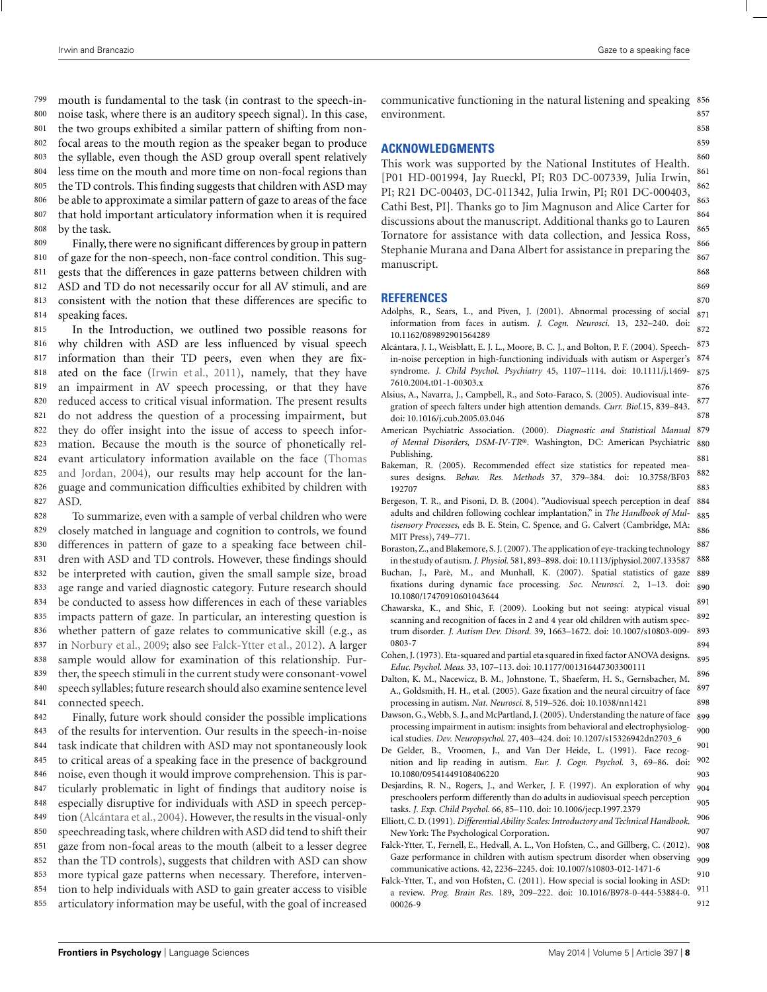869 870

<span id="page-7-0"></span>799 800 mouth is fundamental to the task (in contrast to the speech-innoise task, where there is an auditory speech signal). In this case,

801 802 the two groups exhibited a similar pattern of shifting from non-

803 804 805 806 807 focal areas to the mouth region as the speaker began to produce the syllable, even though the ASD group overall spent relatively less time on the mouth and more time on non-focal regions than the TD controls. This finding suggests that children with ASD may be able to approximate a similar pattern of gaze to areas of the face that hold important articulatory information when it is required

808 809 by the task. Finally, there were no significant differences by group in pattern

810 811 812 813 814 of gaze for the non-speech, non-face control condition. This suggests that the differences in gaze patterns between children with ASD and TD do not necessarily occur for all AV stimuli, and are consistent with the notion that these differences are specific to speaking faces.

815 816 817 818 819 820 821 822 823 824 825 826 827 In the Introduction, we outlined two possible reasons for why children with ASD are less influenced by visual speech information than their TD peers, even when they are fixated on the face [\(Irwin et al.](#page-8-0), [2011\)](#page-8-0), namely, that they have an impairment in AV speech processing, or that they have reduced access to critical visual information. The present results do not address the question of a processing impairment, but they do offer insight into the issue of access to speech information. Because the mouth is the source of phonetically relevant artic[ulatory information available on the face \(](#page-8-0)Thomas and Jordan, [2004\)](#page-8-0), our results may help account for the language and communication difficulties exhibited by children with ASD.

828 829 830 831 832 833 834 835 836 837 838 839 840 841 To summarize, even with a sample of verbal children who were closely matched in language and cognition to controls, we found differences in pattern of gaze to a speaking face between children with ASD and TD controls. However, these findings should be interpreted with caution, given the small sample size, broad age range and varied diagnostic category. Future research should be conducted to assess how differences in each of these variables impacts pattern of gaze. In particular, an interesting question is whether pattern of gaze relates to communicative skill (e.g., as in [Norbury et al., 2009;](#page-8-0) also see Falck-Ytter et al., 2012). A larger sample would allow for examination of this relationship. Further, the speech stimuli in the current study were consonant-vowel speech syllables; future research should also examine sentence level connected speech.

842 843 844 845 846 847 848 849 850 851 852 853 854 855 Finally, future work should consider the possible implications of the results for intervention. Our results in the speech-in-noise task indicate that children with ASD may not spontaneously look to critical areas of a speaking face in the presence of background noise, even though it would improve comprehension. This is particularly problematic in light of findings that auditory noise is especially disruptive for individuals with ASD in speech perception (Alcántara et al., 2004). However, the results in the visual-only speechreading task, where children with ASD did tend to shift their gaze from non-focal areas to the mouth (albeit to a lesser degree than the TD controls), suggests that children with ASD can show more typical gaze patterns when necessary. Therefore, intervention to help individuals with ASD to gain greater access to visible articulatory information may be useful, with the goal of increased

856 communicative functioning in the natural listening and speaking environment.

## **ACKNOWLEDGMENTS**

860 861 862 863 864 865 866 867 868 This work was supported by the National Institutes of Health. [P01 HD-001994, Jay Rueckl, PI; R03 DC-007339, Julia Irwin, PI; R21 DC-00403, DC-011342, Julia Irwin, PI; R01 DC-000403, Cathi Best, PI]. Thanks go to Jim Magnuson and Alice Carter for discussions about the manuscript. Additional thanks go to Lauren Tornatore for assistance with data collection, and Jessica Ross, Stephanie Murana and Dana Albert for assistance in preparing the manuscript.

## **REFERENCES**

- 871 872 Adolphs, R., Sears, L., and Piven, J. (2001). Abnormal processing of social information from faces in autism. *J. Cogn. Neurosci.* 13, 232–240. doi: 10.1162/089892901564289
- 873 874 875 876 Alcántara, J. I., Weisblatt, E. J. L., Moore, B. C. J., and Bolton, P. F. (2004). Speechin-noise perception in high-functioning individuals with autism or Asperger's syndrome. *J. Child Psychol. Psychiatry* 45, 1107–1114. doi: 10.1111/j.1469- 7610.2004.t01-1-00303.x
- 877 878 Alsius, A., Navarra, J., Campbell, R., and Soto-Faraco, S. (2005). Audiovisual integration of speech falters under high attention demands. *Curr. Biol.*15, 839–843. doi: 10.1016/j.cub.2005.03.046
- 879 880 881 American Psychiatric Association. (2000). *Diagnostic and Statistical Manual of Mental Disorders*, *DSM-IV-TR*®. Washington, DC: American Psychiatric Publishing.
- 882 883 Bakeman, R. (2005). Recommended effect size statistics for repeated measures designs. *Behav. Res. Methods* 37, 379–384. doi: 10.3758/BF03 192707
- 884  $985$ 886 Bergeson, T. R., and Pisoni, D. B. (2004). "Audiovisual speech perception in deaf adults and children following cochlear implantation," in *The Handbook of Multisensory Processes*, eds B. E. Stein, C. Spence, and G. Calvert (Cambridge, MA: MIT Press), 749–771.
- 887 888 Boraston, Z., and Blakemore, S. J. (2007). The application of eye-tracking technology in the study of autism. *J. Physiol.* 581, 893–898. doi: 10.1113/jphysiol.2007.133587
- 889 890 891 Buchan, J., Parè, M., and Munhall, K. (2007). Spatial statistics of gaze fixations during dynamic face processing. *Soc. Neurosci.* 2, 1–13. doi: 10.1080/17470910601043644
- 892 893 894 Chawarska, K., and Shic, F. (2009). Looking but not seeing: atypical visual scanning and recognition of faces in 2 and 4 year old children with autism spectrum disorder. *J. Autism Dev. Disord.* 39, 1663–1672. doi: 10.1007/s10803-009- 0803-7
- 895 Cohen, J. (1973). Eta-squared and partial eta squared in fixed factor ANOVA designs. *Educ. Psychol. Meas.* 33, 107–113. doi: 10.1177/001316447303300111
- 896 897 898 Dalton, K. M., Nacewicz, B. M., Johnstone, T., Shaeferm, H. S., Gernsbacher, M. A., Goldsmith, H. H., et al. (2005). Gaze fixation and the neural circuitry of face processing in autism. *Nat. Neurosci.* 8, 519–526. doi: 10.1038/nn1421
- 89C 900 Dawson, G.,Webb, S. J., and McPartland, J. (2005). Understanding the nature of face processing impairment in autism: insights from behavioral and electrophysiological studies. *Dev. Neuropsychol.* 27, 403–424. doi: 10.1207/s15326942dn2703\_6
- 901 902 903 De Gelder, B., Vroomen, J., and Van Der Heide, L. (1991). Face recognition and lip reading in autism. *Eur. J. Cogn. Psychol.* 3, 69–86. doi: 10.1080/09541449108406220

904 905 Desjardins, R. N., Rogers, J., and Werker, J. F. (1997). An exploration of why preschoolers perform differently than do adults in audiovisual speech perception tasks. *J. Exp. Child Psychol.* 66, 85–110. doi: 10.1006/jecp.1997.2379

- 906 907 Elliott, C. D. (1991). *Differential Ability Scales: Introductory and Technical Handbook*. New York: The Psychological Corporation.
- 908 909 910 Falck-Ytter, T., Fernell, E., Hedvall, A. L., Von Hofsten, C., and Gillberg, C. (2012). Gaze performance in children with autism spectrum disorder when observing communicative actions. 42, 2236–2245. doi: 10.1007/s10803-012-1471-6
- 911 912 Falck-Ytter, T., and von Hofsten, C. (2011). How special is social looking in ASD: a review. *Prog. Brain Res.* 189, 209–222. doi: 10.1016/B978-0-444-53884-0. 00026-9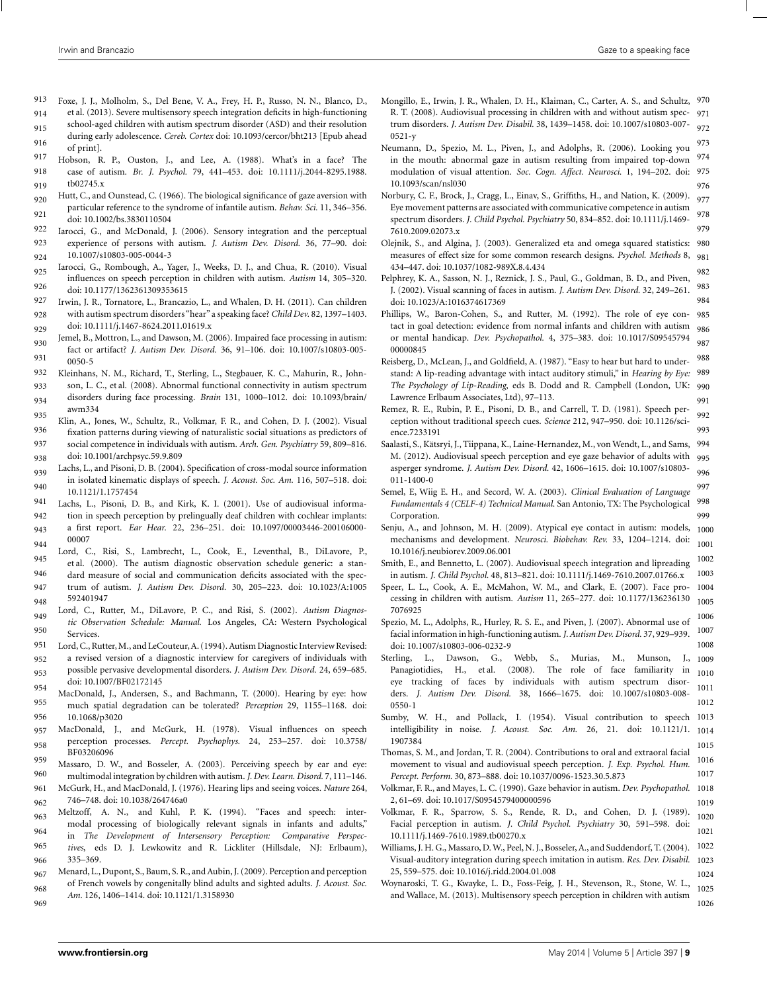- <span id="page-8-0"></span>913 914 Foxe, J. J., Molholm, S., Del Bene, V. A., Frey, H. P., Russo, N. N., Blanco, D., et al. (2013). Severe multisensory speech integration deficits in high-functioning
- 915 school-aged children with autism spectrum disorder (ASD) and their resolution
- 916 during early adolescence. *Cereb. Cortex* doi: 10.1093/cercor/bht213 [Epub ahead of print].
- 917 918 919 Hobson, R. P., Ouston, J., and Lee, A. (1988). What's in a face? The case of autism. *Br. J. Psychol.* 79, 441–453. doi: 10.1111/j.2044-8295.1988. tb02745.x
- 920 921 Hutt, C., and Ounstead, C. (1966). The biological significance of gaze aversion with particular reference to the syndrome of infantile autism. *Behav. Sci.* 11, 346–356. doi: 10.1002/bs.3830110504
- 922 923 Iarocci, G., and McDonald, J. (2006). Sensory integration and the perceptual experience of persons with autism. *J. Autism Dev. Disord.* 36, 77–90. doi:
- 924 10.1007/s10803-005-0044-3 Iarocci, G., Rombough, A., Yager, J., Weeks, D. J., and Chua, R. (2010). Visual
- 925 926 influences on speech perception in children with autism. *Autism* 14, 305–320. doi: 10.1177/1362361309353615
- 927 928 929 Irwin, J. R., Tornatore, L., Brancazio, L., and Whalen, D. H. (2011). Can children with autism spectrum disorders "hear" a speaking face? *Child Dev.* 82, 1397–1403. doi: 10.1111/j.1467-8624.2011.01619.x
- 930 931 Jemel, B., Mottron, L., and Dawson, M. (2006). Impaired face processing in autism: fact or artifact? *J. Autism Dev. Disord.* 36, 91–106. doi: 10.1007/s10803-005- 0050-5
- 932 933 934 Kleinhans, N. M., Richard, T., Sterling, L., Stegbauer, K. C., Mahurin, R., Johnson, L. C., et al. (2008). Abnormal functional connectivity in autism spectrum disorders during face processing. *Brain* 131, 1000–1012. doi: 10.1093/brain/ awm334
- 935 936 937 938 Klin, A., Jones, W., Schultz, R., Volkmar, F. R., and Cohen, D. J. (2002). Visual fixation patterns during viewing of naturalistic social situations as predictors of social competence in individuals with autism. *Arch. Gen. Psychiatry* 59, 809–816. doi: 10.1001/archpsyc.59.9.809
- 939 940 Lachs, L., and Pisoni, D. B. (2004). Specification of cross-modal source information in isolated kinematic displays of speech. *J. Acoust. Soc. Am.* 116, 507–518. doi: 10.1121/1.1757454
- 941 942 943 Lachs, L., Pisoni, D. B., and Kirk, K. I. (2001). Use of audiovisual information in speech perception by prelingually deaf children with cochlear implants: a first report. *Ear Hear.* 22, 236–251. doi: 10.1097/00003446-200106000- 00007
- 944 945 946 947 Lord, C., Risi, S., Lambrecht, L., Cook, E., Leventhal, B., DiLavore, P., et al. (2000). The autism diagnostic observation schedule generic: a standard measure of social and communication deficits associated with the spectrum of autism. *J. Autism Dev. Disord.* 30, 205–223. doi: 10.1023/A:1005 592401947
- 948 949 950 Lord, C., Rutter, M., DiLavore, P. C., and Risi, S. (2002). *Autism Diagnostic Observation Schedule: Manual*. Los Angeles, CA: Western Psychological Services.
- 951 952 Lord, C., Rutter,M., and LeCouteur,A. (1994). Autism Diagnostic Interview Revised: a revised version of a diagnostic interview for caregivers of individuals with
- 953 954 possible pervasive developmental disorders. *J. Autism Dev. Disord.* 24, 659–685. doi: 10.1007/BF02172145
- 955 956 MacDonald, J., Andersen, S., and Bachmann, T. (2000). Hearing by eye: how much spatial degradation can be tolerated? *Perception* 29, 1155–1168. doi: 10.1068/p3020
- 957 958 959 MacDonald, J., and McGurk, H. (1978). Visual influences on speech perception processes. *Percept. Psychophys.* 24, 253–257. doi: 10.3758/ BF03206096
- 960 Massaro, D. W., and Bosseler, A. (2003). Perceiving speech by ear and eye: multimodal integration by children with autism. *J. Dev. Learn. Disord.* 7, 111–146.
- 961 962 McGurk, H., and MacDonald, J. (1976). Hearing lips and seeing voices. *Nature* 264, 746–748. doi: 10.1038/264746a0
- 963 964 965 Meltzoff, A. N., and Kuhl, P. K. (1994). "Faces and speech: intermodal processing of biologically relevant signals in infants and adults," in *The Development of Intersensory Perception: Comparative Perspectives*, eds D. J. Lewkowitz and R. Lickliter (Hillsdale, NJ: Erlbaum),
- 966 967 335–369. Menard, L., Dupont, S., Baum, S. R., and Aubin, J. (2009). Perception and perception
- 968 969 of French vowels by congenitally blind adults and sighted adults. *J. Acoust. Soc. Am.* 126, 1406–1414. doi: 10.1121/1.3158930
- 970 971 972 Mongillo, E., Irwin, J. R., Whalen, D. H., Klaiman, C., Carter, A. S., and Schultz, R. T. (2008). Audiovisual processing in children with and without autism spectrum disorders. *J. Autism Dev. Disabil.* 38, 1439–1458. doi: 10.1007/s10803-007- 0521-y
- 973 974 975 976 Neumann, D., Spezio, M. L., Piven, J., and Adolphs, R. (2006). Looking you in the mouth: abnormal gaze in autism resulting from impaired top-down modulation of visual attention. *Soc. Cogn. Affect. Neurosci.* 1, 194–202. doi: 10.1093/scan/nsl030
- 977 978 979 Norbury, C. F., Brock, J., Cragg, L., Einav, S., Griffiths, H., and Nation, K. (2009). Eye movement patterns are associated with communicative competence in autism spectrum disorders. *J. Child Psychol. Psychiatry* 50, 834–852. doi: 10.1111/j.1469- 7610.2009.02073.x
- 980 981 982 Olejnik, S., and Algina, J. (2003). Generalized eta and omega squared statistics: measures of effect size for some common research designs. *Psychol. Methods* 8, 434–447. doi: 10.1037/1082-989X.8.4.434
- 983 984 Pelphrey, K. A., Sasson, N. J., Reznick, J. S., Paul, G., Goldman, B. D., and Piven, J. (2002). Visual scanning of faces in autism. *J. Autism Dev. Disord.* 32, 249–261. doi: 10.1023/A:1016374617369
- 985 986 987 Phillips, W., Baron-Cohen, S., and Rutter, M. (1992). The role of eye contact in goal detection: evidence from normal infants and children with autism or mental handicap. *Dev. Psychopathol.* 4, 375–383. doi: 10.1017/S09545794 00000845
- 988 989 990 991 Reisberg, D., McLean, J., and Goldfield, A. (1987). "Easy to hear but hard to understand: A lip-reading advantage with intact auditory stimuli," in *Hearing by Eye: The Psychology of Lip-Reading*, eds B. Dodd and R. Campbell (London, UK: Lawrence Erlbaum Associates, Ltd), 97–113.
- 992 993 Remez, R. E., Rubin, P. E., Pisoni, D. B., and Carrell, T. D. (1981). Speech perception without traditional speech cues. *Science* 212, 947–950. doi: 10.1126/science.7233191
- 994 995 996 Saalasti, S., Kätsryi, J., Tiippana, K., Laine-Hernandez, M., von Wendt, L., and Sams, M. (2012). Audiovisual speech perception and eye gaze behavior of adults with asperger syndrome. *J. Autism Dev. Disord.* 42, 1606–1615. doi: 10.1007/s10803- 011-1400-0
- 997 998 999 Semel, E, Wiig E. H., and Secord, W. A. (2003). *Clinical Evaluation of Language Fundamentals 4 (CELF-4) Technical Manual*. San Antonio, TX: The Psychological **Corporation**
- 1000 1001 Senju, A., and Johnson, M. H. (2009). Atypical eye contact in autism: models, mechanisms and development. *Neurosci. Biobehav. Rev.* 33, 1204–1214. doi: 10.1016/j.neubiorev.2009.06.001
- 1002 1003 Smith, E., and Bennetto, L. (2007). Audiovisual speech integration and lipreading in autism. *J. Child Psychol.* 48, 813–821. doi: 10.1111/j.1469-7610.2007.01766.x
- 1004 1005 1006 Speer, L. L., Cook, A. E., McMahon, W. M., and Clark, E. (2007). Face processing in children with autism. *Autism* 11, 265–277. doi: 10.1177/136236130 7076925
- 1007 1008 Spezio, M. L., Adolphs, R., Hurley, R. S. E., and Piven, J. (2007). Abnormal use of facial information in high-functioning autism. *J. Autism Dev. Disord.* 37, 929–939. doi: 10.1007/s10803-006-0232-9
- 1009 1010 1011 1012 Sterling, L., Dawson, G., Webb, S., Murias, M., Munson, Panagiotidies, H., et al. (2008). The role of face familiarity in eye tracking of faces by individuals with autism spectrum disorders. *J. Autism Dev. Disord.* 38, 1666–1675. doi: 10.1007/s10803-008- 0550-1
- 1013 1014 1015 Sumby, W. H., and Pollack, I. (1954). Visual contribution to speech intelligibility in noise. *J. Acoust. Soc. Am.* 26, 21. doi: 10.1121/1. 1907384
- 1016 1017 Thomas, S. M., and Jordan, T. R. (2004). Contributions to oral and extraoral facial movement to visual and audiovisual speech perception. *J. Exp. Psychol. Hum. Percept. Perform.* 30, 873–888. doi: 10.1037/0096-1523.30.5.873
- 1018 1019 Volkmar, F. R., and Mayes, L. C. (1990). Gaze behavior in autism. *Dev. Psychopathol.* 2, 61–69. doi: 10.1017/S0954579400000596
- 1020 1021 Volkmar, F. R., Sparrow, S. S., Rende, R. D., and Cohen, D. J. (1989). Facial perception in autism. *J. Child Psychol. Psychiatry* 30, 591–598. doi: 10.1111/j.1469-7610.1989.tb00270.x
- 1022 1023 1024 Williams, J. H. G., Massaro, D.W., Peel, N. J., Bosseler, A., and Suddendorf, T. (2004). Visual-auditory integration during speech imitation in autism. *Res. Dev. Disabil.* 25, 559–575. doi: 10.1016/j.ridd.2004.01.008
- 1025 1026 Woynaroski, T. G., Kwayke, L. D., Foss-Feig, J. H., Stevenson, R., Stone, W. L., and Wallace, M. (2013). Multisensory speech perception in children with autism